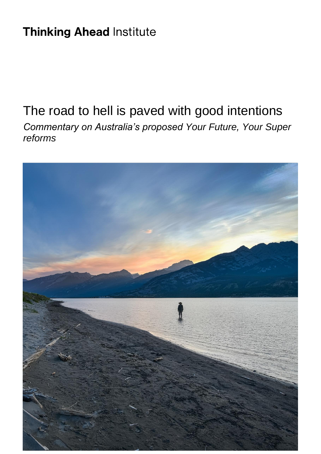# **Thinking Ahead Institute**

## The road to hell is paved with good intentions *Commentary on Australia's proposed Your Future, Your Super reforms*

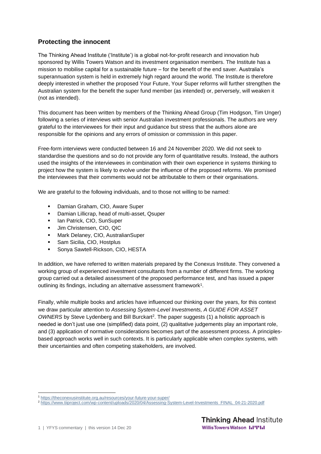## **Protecting the innocent**

The Thinking Ahead Institute ('Institute') is a global not-for-profit research and innovation hub sponsored by Willis Towers Watson and its investment organisation members. The Institute has a mission to mobilise capital for a sustainable future – for the benefit of the end saver. Australia's superannuation system is held in extremely high regard around the world. The Institute is therefore deeply interested in whether the proposed Your Future, Your Super reforms will further strengthen the Australian system for the benefit the super fund member (as intended) or, perversely, will weaken it (not as intended).

This document has been written by members of the Thinking Ahead Group (Tim Hodgson, Tim Unger) following a series of interviews with senior Australian investment professionals. The authors are very grateful to the interviewees for their input and guidance but stress that the authors alone are responsible for the opinions and any errors of omission or commission in this paper.

Free-form interviews were conducted between 16 and 24 November 2020. We did not seek to standardise the questions and so do not provide any form of quantitative results. Instead, the authors used the insights of the interviewees in combination with their own experience in systems thinking to project how the system is likely to evolve under the influence of the proposed reforms. We promised the interviewees that their comments would not be attributable to them or their organisations.

We are grateful to the following individuals, and to those not willing to be named:

- Damian Graham, CIO, Aware Super
- Damian Lillicrap, head of multi-asset, Qsuper
- Ian Patrick, CIO, SunSuper
- **·** Jim Christensen, CIO, QIC
- Mark Delaney, CIO, AustralianSuper
- Sam Sicilia, CIO, Hostplus
- **· Sonya Sawtell-Rickson, CIO, HESTA**

In addition, we have referred to written materials prepared by the Conexus Institute. They convened a working group of experienced investment consultants from a number of different firms. The working group carried out a detailed assessment of the proposed performance test, and has issued a paper outlining its findings, including an alternative assessment framework<sup>1</sup>.

Finally, while multiple books and articles have influenced our thinking over the years, for this context we draw particular attention to *Assessing System-Level Investments, A GUIDE FOR ASSET*  OWNERS by Steve Lydenberg and Bill Burckart<sup>2</sup>. The paper suggests (1) a holistic approach is needed ie don't just use one (simplified) data point, (2) qualitative judgements play an important role, and (3) application of normative considerations becomes part of the assessment process. A principlesbased approach works well in such contexts. It is particularly applicable when complex systems, with their uncertainties and often competing stakeholders, are involved.

<sup>1</sup> <https://theconexusinstitute.org.au/resources/your-future-your-super/>

<sup>2</sup> [https://www.tiiproject.com/wp-content/uploads/2020/04/Assessing-System-Level-Investments\\_FINAL\\_04-21-2020.pdf](https://www.tiiproject.com/wp-content/uploads/2020/04/Assessing-System-Level-Investments_FINAL_04-21-2020.pdf)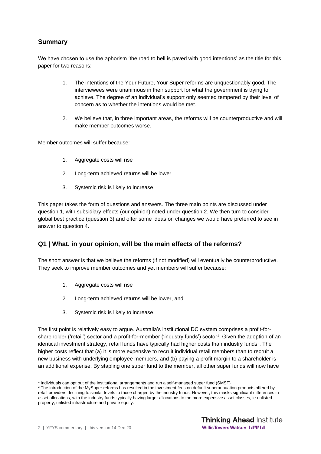## **Summary**

We have chosen to use the aphorism 'the road to hell is paved with good intentions' as the title for this paper for two reasons:

- 1. The intentions of the Your Future, Your Super reforms are unquestionably good. The interviewees were unanimous in their support for what the government is trying to achieve. The degree of an individual's support only seemed tempered by their level of concern as to whether the intentions would be met.
- 2. We believe that, in three important areas, the reforms will be counterproductive and will make member outcomes worse.

Member outcomes will suffer because:

- 1. Aggregate costs will rise
- 2. Long-term achieved returns will be lower
- 3. Systemic risk is likely to increase.

This paper takes the form of questions and answers. The three main points are discussed under question 1, with subsidiary effects (our opinion) noted under question 2. We then turn to consider global best practice (question 3) and offer some ideas on changes we would have preferred to see in answer to question 4.

## **Q1 | What, in your opinion, will be the main effects of the reforms?**

The short answer is that we believe the reforms (if not modified) will eventually be counterproductive. They seek to improve member outcomes and yet members will suffer because:

- 1. Aggregate costs will rise
- 2. Long-term achieved returns will be lower, and
- 3. Systemic risk is likely to increase.

The first point is relatively easy to argue. Australia's institutional DC system comprises a profit-forshareholder ('retail') sector and a profit-for-member ('industry funds') sector<sup>1</sup>. Given the adoption of an identical investment strategy, retail funds have typically had higher costs than industry funds<sup>2</sup>. The higher costs reflect that (a) it is more expensive to recruit individual retail members than to recruit a new business with underlying employee members, and (b) paying a profit margin to a shareholder is an additional expense. By stapling one super fund to the member, all other super funds will now have

<sup>&</sup>lt;sup>1</sup> Individuals can opt out of the institutional arrangements and run a self-managed super fund (SMSF)

<sup>&</sup>lt;sup>2</sup> The introduction of the MySuper reforms has resulted in the investment fees on default superannuation products offered by retail providers declining to similar levels to those charged by the industry funds. However, this masks significant differences in asset allocations, with the industry funds typically having larger allocations to the more expensive asset classes, ie unlisted property, unlisted infrastructure and private equity.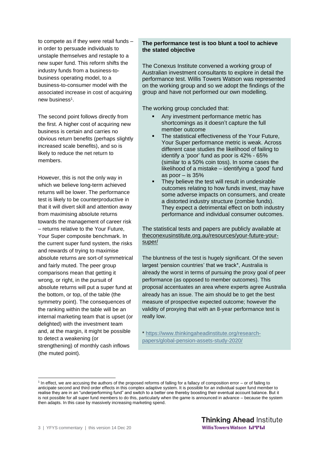to compete as if they were retail funds – in order to persuade individuals to unstaple themselves and restaple to a new super fund. This reform shifts the industry funds from a business-tobusiness operating model, to a business-to-consumer model with the associated increase in cost of acquiring new business<sup>1</sup>.

The second point follows directly from the first. A higher cost of acquiring new business is certain and carries no obvious return benefits (perhaps slightly increased scale benefits), and so is likely to reduce the net return to members.

However, this is not the only way in which we believe long-term achieved returns will be lower. The performance test is likely to be counterproductive in that it will divert skill and attention away from maximising absolute returns towards the management of career risk – returns relative to the Your Future, Your Super composite benchmark. In the current super fund system, the risks and rewards of trying to maximise absolute returns are sort-of symmetrical and fairly muted. The peer group comparisons mean that getting it wrong, or right, in the pursuit of absolute returns will put a super fund at the bottom, or top, of the table (the symmetry point). The consequences of the ranking within the table will be an internal marketing team that is upset (or delighted) with the investment team and, at the margin, it might be possible to detect a weakening (or strengthening) of monthly cash inflows (the muted point).

#### **The performance test is too blunt a tool to achieve the stated objective**

The Conexus Institute convened a working group of Australian investment consultants to explore in detail the performance test. Willis Towers Watson was represented on the working group and so we adopt the findings of the group and have not performed our own modelling.

The working group concluded that:

- Any investment performance metric has shortcomings as it doesn't capture the full member outcome
- The statistical effectiveness of the Your Future. Your Super performance metric is weak. Across different case studies the likelihood of failing to identify a 'poor' fund as poor is 42% - 65% (similar to a 50% coin toss). In some cases the likelihood of a mistake – identifying a 'good' fund as poor – is 35%
- They believe the test will result in undesirable outcomes relating to how funds invest, may have some adverse impacts on consumers, and create a distorted industry structure (zombie funds). They expect a detrimental effect on both industry performance and individual consumer outcomes.

The statistical tests and papers are publicly available at [theconexusinstitute.org.au/resources/your-future-your](https://theconexusinstitute.org.au/resources/your-future-your-super/)[super/](https://theconexusinstitute.org.au/resources/your-future-your-super/)

The bluntness of the test is hugely significant. Of the seven largest 'pension countries' that we track\*, Australia is already the worst in terms of pursuing the proxy goal of peer performance (as opposed to member outcomes). This proposal accentuates an area where experts agree Australia already has an issue. The aim should be to get the best measure of prospective expected outcome; however the validity of proxying that with an 8-year performance test is really low.

\* [https://www.thinkingaheadinstitute.org/research](https://www.thinkingaheadinstitute.org/research-papers/global-pension-assets-study-2020/)[papers/global-pension-assets-study-2020/](https://www.thinkingaheadinstitute.org/research-papers/global-pension-assets-study-2020/)

**Thinking Ahead Institute WillisTowersWatson I.I'I'I.I** 

<sup>&</sup>lt;sup>1</sup> In effect, we are accusing the authors of the proposed reforms of falling for a fallacy of composition error – or of failing to anticipate second and third order effects in this complex adaptive system. It is possible for an individual super fund member to realise they are in an "underperforming fund" and switch to a better one thereby boosting their eventual account balance. But it is not possible for all super fund members to do this, particularly when the game is announced in advance – because the system then adapts. In this case by massively increasing marketing spend.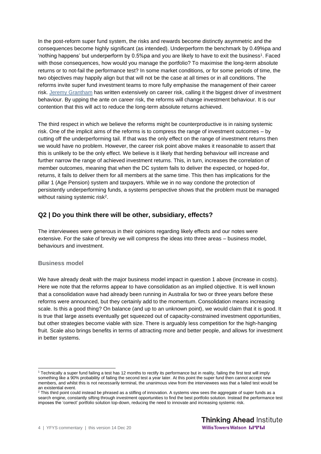In the post-reform super fund system, the risks and rewards become distinctly asymmetric and the consequences become highly significant (as intended). Underperform the benchmark by 0.49%pa and 'nothing happens' but underperform by 0.5%pa and you are likely to have to exit the business<sup>1</sup>. Faced with those consequences, how would you manage the portfolio? To maximise the long-term absolute returns or to not-fail the performance test? In some market conditions, or for some periods of time, the two objectives may happily align but that will not be the case at all times or in all conditions. The reforms invite super fund investment teams to more fully emphasise the management of their career risk. [Jeremy Grantham](https://en.wikipedia.org/wiki/Jeremy_Grantham) has written extensively on career risk, calling it the biggest driver of investment behaviour. By upping the ante on career risk, the reforms will change investment behaviour. It is our contention that this will act to reduce the long-term absolute returns achieved.

The third respect in which we believe the reforms might be counterproductive is in raising systemic risk. One of the implicit aims of the reforms is to compress the range of investment outcomes – by cutting off the underperforming tail. If that was the only effect on the range of investment returns then we would have no problem. However, the career risk point above makes it reasonable to assert that this is unlikely to be the only effect. We believe is it likely that herding behaviour will increase and further narrow the range of achieved investment returns. This, in turn, increases the correlation of member outcomes, meaning that when the DC system fails to deliver the expected, or hoped-for, returns, it fails to deliver them for all members at the same time. This then has implications for the pillar 1 (Age Pension) system and taxpayers. While we in no way condone the protection of persistently underperforming funds, a systems perspective shows that the problem must be managed without raising systemic risk<sup>2</sup>.

## **Q2 | Do you think there will be other, subsidiary, effects?**

The interviewees were generous in their opinions regarding likely effects and our notes were extensive. For the sake of brevity we will compress the ideas into three areas – business model, behaviours and investment.

#### **Business model**

We have already dealt with the major business model impact in question 1 above (increase in costs). Here we note that the reforms appear to have consolidation as an implied objective. It is well known that a consolidation wave had already been running in Australia for two or three years before these reforms were announced, but they certainly add to the momentum. Consolidation means increasing scale. Is this a good thing? On balance (and up to an unknown point), we would claim that it is good. It is true that large assets eventually get squeezed out of capacity-constrained investment opportunities, but other strategies become viable with size. There is arguably less competition for the high-hanging fruit. Scale also brings benefits in terms of attracting more and better people, and allows for investment in better systems.

<sup>1</sup> Technically a super fund failing a test has 12 months to rectify its performance but in reality, failing the first test will imply something like a 90% probability of failing the second test a year later. At this point the super fund then cannot accept new members, and whilst this is not necessarily terminal, the unanimous view from the interviewees was that a failed test would be an existential event.

<sup>2</sup> This third point could instead be phrased as a stifling of innovation. A systems view sees the aggregate of super funds as a search engine, constantly sifting through investment opportunities to find the best portfolio solution. Instead the performance test imposes the 'correct' portfolio solution top-down, reducing the need to innovate and increasing systemic risk.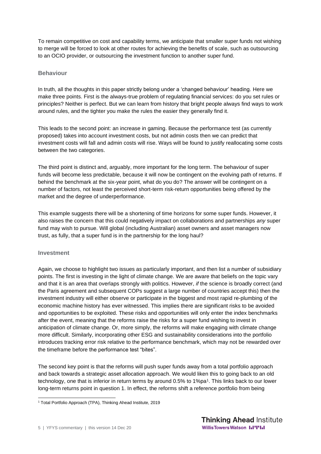To remain competitive on cost and capability terms, we anticipate that smaller super funds not wishing to merge will be forced to look at other routes for achieving the benefits of scale, such as outsourcing to an OCIO provider, or outsourcing the investment function to another super fund.

#### **Behaviour**

In truth, all the thoughts in this paper strictly belong under a 'changed behaviour' heading. Here we make three points. First is the always-true problem of regulating financial services: do you set rules or principles? Neither is perfect. But we can learn from history that bright people always find ways to work around rules, and the tighter you make the rules the easier they generally find it.

This leads to the second point: an increase in gaming. Because the performance test (as currently proposed) takes into account investment costs, but not admin costs then we can predict that investment costs will fall and admin costs will rise. Ways will be found to justify reallocating some costs between the two categories.

The third point is distinct and, arguably, more important for the long term. The behaviour of super funds will become less predictable, because it will now be contingent on the evolving path of returns. If behind the benchmark at the six-year point, what do you do? The answer will be contingent on a number of factors, not least the perceived short-term risk-return opportunities being offered by the market and the degree of underperformance.

This example suggests there will be a shortening of time horizons for some super funds. However, it also raises the concern that this could negatively impact on collaborations and partnerships *any* super fund may wish to pursue. Will global (including Australian) asset owners and asset managers now trust, as fully, that a super fund is in the partnership for the long haul?

#### **Investment**

Again, we choose to highlight two issues as particularly important, and then list a number of subsidiary points. The first is investing in the light of climate change. We are aware that beliefs on the topic vary and that it is an area that overlaps strongly with politics. However, *if* the science is broadly correct (and the Paris agreement and subsequent COPs suggest a large number of countries accept this) then the investment industry will either observe or participate in the biggest and most rapid re-plumbing of the economic machine history has ever witnessed. This implies there are significant risks to be avoided and opportunities to be exploited. These risks and opportunities will only enter the index benchmarks after the event, meaning that the reforms raise the risks for a super fund wishing to invest in anticipation of climate change. Or, more simply, the reforms will make engaging with climate change more difficult. Similarly, incorporating other ESG and sustainability considerations into the portfolio introduces tracking error risk relative to the performance benchmark, which may not be rewarded over the timeframe before the performance test "bites".

The second key point is that the reforms will push super funds away from a total portfolio approach and back towards a strategic asset allocation approach. We would liken this to going back to an old technology, one that is inferior in return terms by around 0.5% to 1%pa<sup>1</sup>. This links back to our lower long-term returns point in question 1. In effect, the reforms shift a reference portfolio from being

<sup>1</sup> Total Portfolio Approach (TPA), Thinking Ahead Institute, 2019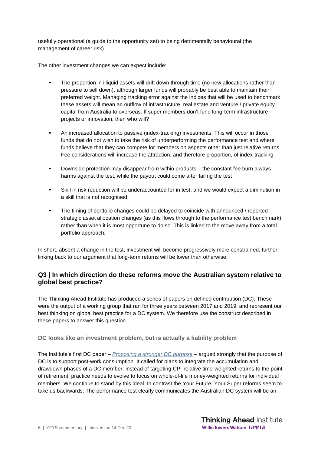usefully operational (a guide to the opportunity set) to being detrimentally behavioural (the management of career risk).

The other investment changes we can expect include:

- The proportion in illiquid assets will drift down through time (no new allocations rather than pressure to sell down), although larger funds will probably be best able to maintain their preferred weight. Managing tracking error against the indices that will be used to benchmark these assets will mean an outflow of infrastructure, real estate and venture / private equity capital from Australia to overseas. If super members don't fund long-term infrastructure projects or innovation, then who will?
- An increased allocation to passive (index-tracking) investments. This will occur in those funds that do not wish to take the risk of underperforming the performance test and where funds believe that they can compete for members on aspects other than just relative returns. Fee considerations will increase the attraction, and therefore proportion, of index-tracking
- Downside protection may disappear from within products the constant fee burn always harms against the test, while the payout could come after failing the test
- **•** Skill in risk reduction will be underaccounted for in test, and we would expect a diminution in a skill that is not recognised.
- The timing of portfolio changes could be delayed to coincide with announced / reported strategic asset allocation changes (as this flows through to the performance test benchmark), rather than when it is most opportune to do so. This is linked to the move away from a total portfolio approach.

In short, absent a change in the test, investment will become progressively more constrained, further linking back to our argument that long-term returns will be lower than otherwise.

## **Q3 | In which direction do these reforms move the Australian system relative to global best practice?**

The Thinking Ahead Institute has produced a series of papers on defined contribution (DC). These were the output of a working group that ran for three years between 2017 and 2019, and represent our best thinking on global best practice for a DC system. We therefore use the construct described in these papers to answer this question.

**DC looks like an investment problem, but is actually a liability problem**

The Institute's first DC paper – *[Proposing a stronger DC purpose](https://www.thinkingaheadinstitute.org/en/Library/Public/Research-and-Ideas/2017/09/Proposing-A-Stronger-DC-Purpose)* – argued strongly that the purpose of DC is to support post-work consumption. It called for plans to integrate the accumulation and drawdown phases of a DC member: instead of targeting CPI-relative time-weighted returns to the point of retirement, practice needs to evolve to focus on whole-of-life money-weighted returns for individual members. We continue to stand by this ideal. In contrast the Your Future, Your Super reforms seem to take us backwards. The performance test clearly communicates the Australian DC system will be an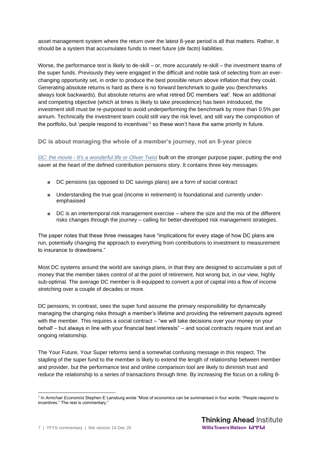asset management system where the return over the latest 8-year period is all that matters. Rather, it should be a system that accumulates funds to meet future (*de facto*) liabilities.

Worse, the performance test is likely to de-skill – or, more accurately re-skill – the investment teams of the super funds. Previously they were engaged in the difficult and noble task of selecting from an everchanging opportunity set, in order to produce the best possible return above inflation that they could. Generating absolute returns is hard as there is no forward benchmark to guide you (benchmarks always look backwards). But absolute returns are what retired DC members 'eat'. Now an additional and competing objective (which at times is likely to take precedence) has been introduced, the investment skill must be re-purposed to avoid underperforming the benchmark by more than 0.5% per annum. Technically the investment team could still vary the risk level, and still vary the composition of the portfolio, but 'people respond to incentives'<sup>1</sup> so these won't have the same priority in future.

**DC is about managing the whole of a member's journey, not an 8-year piece**

*DC: the movie - [It's a wonderful life or Oliver Twist](https://www.thinkingaheadinstitute.org/en/Library/Public/Research-and-Ideas/2018/04/DC-the-movie-paper)* built on the stronger purpose paper, putting the end saver at the heart of the defined contribution pensions story. It contains three key messages:

- DC pensions (as opposed to DC savings plans) are a form of social contract
- Understanding the true goal (income in retirement) is foundational and currently underemphasised
- DC is an intertemporal risk management exercise where the size and the mix of the different risks changes through the journey – calling for better-developed risk management strategies.

The paper notes that these three messages have "implications for every stage of how DC plans are run, potentially changing the approach to everything from contributions to investment to measurement to insurance to drawdowns."

Most DC systems around the world are savings plans, in that they are designed to accumulate a pot of money that the member takes control of at the point of retirement. Not wrong but, in our view, highly sub-optimal. The average DC member is ill-equipped to convert a pot of capital into a flow of income stretching over a couple of decades or more.

DC pensions, in contrast, sees the super fund assume the primary responsibility for dynamically managing the changing risks through a member's lifetime and providing the retirement payouts agreed with the member. This requires a social contract – "we will take decisions over your money on your behalf – but always in line with your financial best interests" – and social contracts require trust and an ongoing relationship.

The Your Future, Your Super reforms send a somewhat confusing message in this respect. The stapling of the super fund to the member is likely to extend the length of relationship between member and provider, but the performance test and online comparison tool are likely to diminish trust and reduce the relationship to a series of transactions through time. By increasing the focus on a rolling 8-

<sup>1</sup> In *Armchair Economist* Stephen E Lansburg wrote "Most of economics can be summarised in four words: "People respond to incentives." The rest is commentary.'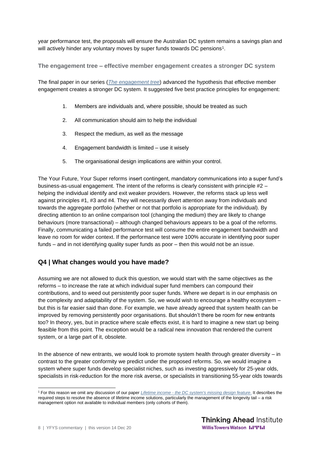year performance test, the proposals will ensure the Australian DC system remains a savings plan and will actively hinder any voluntary moves by super funds towards DC pensions<sup>1</sup>.

**The engagement tree – effective member engagement creates a stronger DC system**

The final paper in our series (*[The engagement tree](https://www.thinkingaheadinstitute.org/research-papers/dc-the-engagement-tree/)*) advanced the hypothesis that effective member engagement creates a stronger DC system. It suggested five best practice principles for engagement:

- 1. Members are individuals and, where possible, should be treated as such
- 2. All communication should aim to help the individual
- 3. Respect the medium, as well as the message
- 4. Engagement bandwidth is limited use it wisely
- 5. The organisational design implications are within your control.

The Your Future, Your Super reforms insert contingent, mandatory communications into a super fund's business-as-usual engagement. The intent of the reforms is clearly consistent with principle #2 – helping the individual identify and exit weaker providers. However, the reforms stack up less well against principles #1, #3 and #4. They will necessarily divert attention away from individuals and towards the aggregate portfolio (whether or not that portfolio is appropriate for the individual). By directing attention to an online comparison tool (changing the medium) they are likely to change behaviours (more transactional) – although changed behaviours appears to be a goal of the reforms. Finally, communicating a failed performance test will consume the entire engagement bandwidth and leave no room for wider context. If the performance test were 100% accurate in identifying poor super funds – and in not identifying quality super funds as poor – then this would not be an issue.

## **Q4 | What changes would you have made?**

Assuming we are not allowed to duck this question, we would start with the same objectives as the reforms – to increase the rate at which individual super fund members can compound their contributions, and to weed out persistently poor super funds. Where we depart is in our emphasis on the complexity and adaptability of the system. So, we would wish to encourage a healthy ecosystem – but this is far easier said than done. For example, we have already agreed that system health can be improved by removing persistently poor organisations. But shouldn't there be room for new entrants too? In theory, yes, but in practice where scale effects exist, it is hard to imagine a new start up being feasible from this point. The exception would be a radical new innovation that rendered the current system, or a large part of it, obsolete.

In the absence of new entrants, we would look to promote system health through greater diversity – in contrast to the greater conformity we predict under the proposed reforms. So, we would imagine a system where super funds develop specialist niches, such as investing aggressively for 25-year olds, specialists in risk-reduction for the more risk averse, or specialists in transitioning 55-year olds towards

<sup>1</sup> For this reason we omit any discussion of our paper *Lifetime income - [the DC system's missing design feature](https://www.thinkingaheadinstitute.org/en/Library/Public/Research-and-Ideas/2018/11/DC_lifetime_income)*. It describes the required steps to resolve the absence of lifetime income solutions, particularly the management of the longevity tail – a risk management option not available to individual members (only cohorts of them).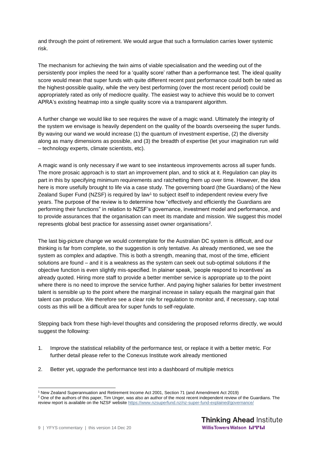and through the point of retirement. We would argue that such a formulation carries lower systemic risk.

The mechanism for achieving the twin aims of viable specialisation and the weeding out of the persistently poor implies the need for a 'quality score' rather than a performance test. The ideal quality score would mean that super funds with quite different recent past performance could both be rated as the highest-possible quality, while the very best performing (over the most recent period) could be appropriately rated as only of mediocre quality. The easiest way to achieve this would be to convert APRA's existing heatmap into a single quality score via a transparent algorithm.

A further change we would like to see requires the wave of a magic wand. Ultimately the integrity of the system we envisage is heavily dependent on the quality of the boards overseeing the super funds. By waving our wand we would increase (1) the quantum of investment expertise, (2) the diversity along as many dimensions as possible, and (3) the breadth of expertise (let your imagination run wild – technology experts, climate scientists, etc).

A magic wand is only necessary if we want to see instanteous improvements across all super funds. The more prosaic approach is to start an improvement plan, and to stick at it. Regulation can play its part in this by specifying minimum requirements and ratchetting them up over time. However, the idea here is more usefully brought to life via a case study. The governing board (the Guardians) of the New Zealand Super Fund (NZSF) is required by law<sup>1</sup> to subject itself to independent review every five years. The purpose of the review is to determine how "effectively and efficiently the Guardians are performing their functions" in relation to NZSF's governance, investment model and performance, and to provide assurances that the organisation can meet its mandate and mission. We suggest this model represents global best practice for assessing asset owner organisations<sup>2</sup>.

The last big-picture change we would contemplate for the Australian DC system is difficult, and our thinking is far from complete, so the suggestion is only tentative. As already mentioned, we see the system as complex and adaptive. This is both a strength, meaning that, most of the time, efficient solutions are found – and it is a weakness as the system can seek out sub-optimal solutions if the objective function is even slightly mis-specified. In plainer speak, 'people respond to incentives' as already quoted. Hiring more staff to provide a better member service is appropriate up to the point where there is no need to improve the service further. And paying higher salaries for better investment talent is sensible up to the point where the marginal increase in salary equals the marginal gain that talent can produce. We therefore see a clear role for regulation to monitor and, if necessary, cap total costs as this will be a difficult area for super funds to self-regulate.

Stepping back from these high-level thoughts and considering the proposed reforms directly, we would suggest the following:

- 1. Improve the statistical reliability of the performance test, or replace it with a better metric. For further detail please refer to the Conexus Institute work already mentioned
- 2. Better yet, upgrade the performance test into a dashboard of multiple metrics

<sup>1</sup> New Zealand Superannuation and Retirement Income Act 2001, Section 71 (and Amendment Act 2019)

<sup>&</sup>lt;sup>2</sup> One of the authors of this paper, Tim Unger, was also an author of the most recent independent review of the Guardians. The review report is available on the NZSF websit[e https://www.nzsuperfund.nz/nz-super-fund-explained/governance/](https://www.nzsuperfund.nz/nz-super-fund-explained/governance/)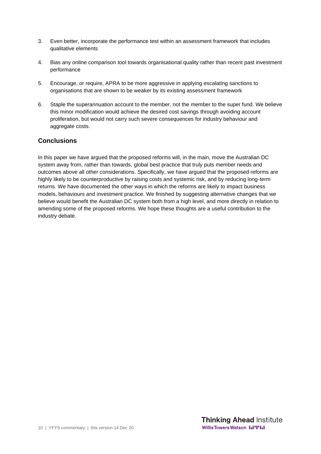- 3. Even better, incorporate the performance test within an assessment framework that includes qualitative elements
- 4. Bias any online comparison tool towards organisational quality rather than recent past investment performance
- 5. Encourage, or require, APRA to be more aggressive in applying escalating sanctions to organisations that are shown to be weaker by its existing assessment framework
- 6. Staple the superannuation account to the member, not the member to the super fund. We believe this minor modification would achieve the desired cost savings through avoiding account proliferation, but would not carry such severe consequences for industry behaviour and aggregate costs.

## **Conclusions**

In this paper we have argued that the proposed reforms will, in the main, move the Australian DC system away from, rather than towards, global best practice that truly puts member needs and outcomes above all other considerations. Specifically, we have argued that the proposed reforms are highly likely to be counterproductive by raising costs and systemic risk, and by reducing long-term returns. We have documented the other ways in which the reforms are likely to impact business models, behaviours and investment practice. We finished by suggesting alternative changes that we believe would benefit the Australian DC system both from a high level, and more directly in relation to amending some of the proposed reforms. We hope these thoughts are a useful contribution to the industry debate.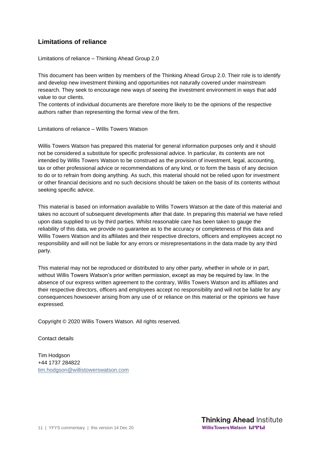## **Limitations of reliance**

Limitations of reliance – Thinking Ahead Group 2.0

This document has been written by members of the Thinking Ahead Group 2.0. Their role is to identify and develop new investment thinking and opportunities not naturally covered under mainstream research. They seek to encourage new ways of seeing the investment environment in ways that add value to our clients.

The contents of individual documents are therefore more likely to be the opinions of the respective authors rather than representing the formal view of the firm.

Limitations of reliance – Willis Towers Watson

Willis Towers Watson has prepared this material for general information purposes only and it should not be considered a substitute for specific professional advice. In particular, its contents are not intended by Willis Towers Watson to be construed as the provision of investment, legal, accounting, tax or other professional advice or recommendations of any kind, or to form the basis of any decision to do or to refrain from doing anything. As such, this material should not be relied upon for investment or other financial decisions and no such decisions should be taken on the basis of its contents without seeking specific advice.

This material is based on information available to Willis Towers Watson at the date of this material and takes no account of subsequent developments after that date. In preparing this material we have relied upon data supplied to us by third parties. Whilst reasonable care has been taken to gauge the reliability of this data, we provide no guarantee as to the accuracy or completeness of this data and Willis Towers Watson and its affiliates and their respective directors, officers and employees accept no responsibility and will not be liable for any errors or misrepresentations in the data made by any third party.

This material may not be reproduced or distributed to any other party, whether in whole or in part, without Willis Towers Watson's prior written permission, except as may be required by law. In the absence of our express written agreement to the contrary, Willis Towers Watson and its affiliates and their respective directors, officers and employees accept no responsibility and will not be liable for any consequences howsoever arising from any use of or reliance on this material or the opinions we have expressed.

Copyright © 2020 Willis Towers Watson. All rights reserved.

Contact details

Tim Hodgson +44 1737 284822 [tim.hodgson@willistowerswatson.com](mailto:tim.hodgson@willistowerswatson.com)